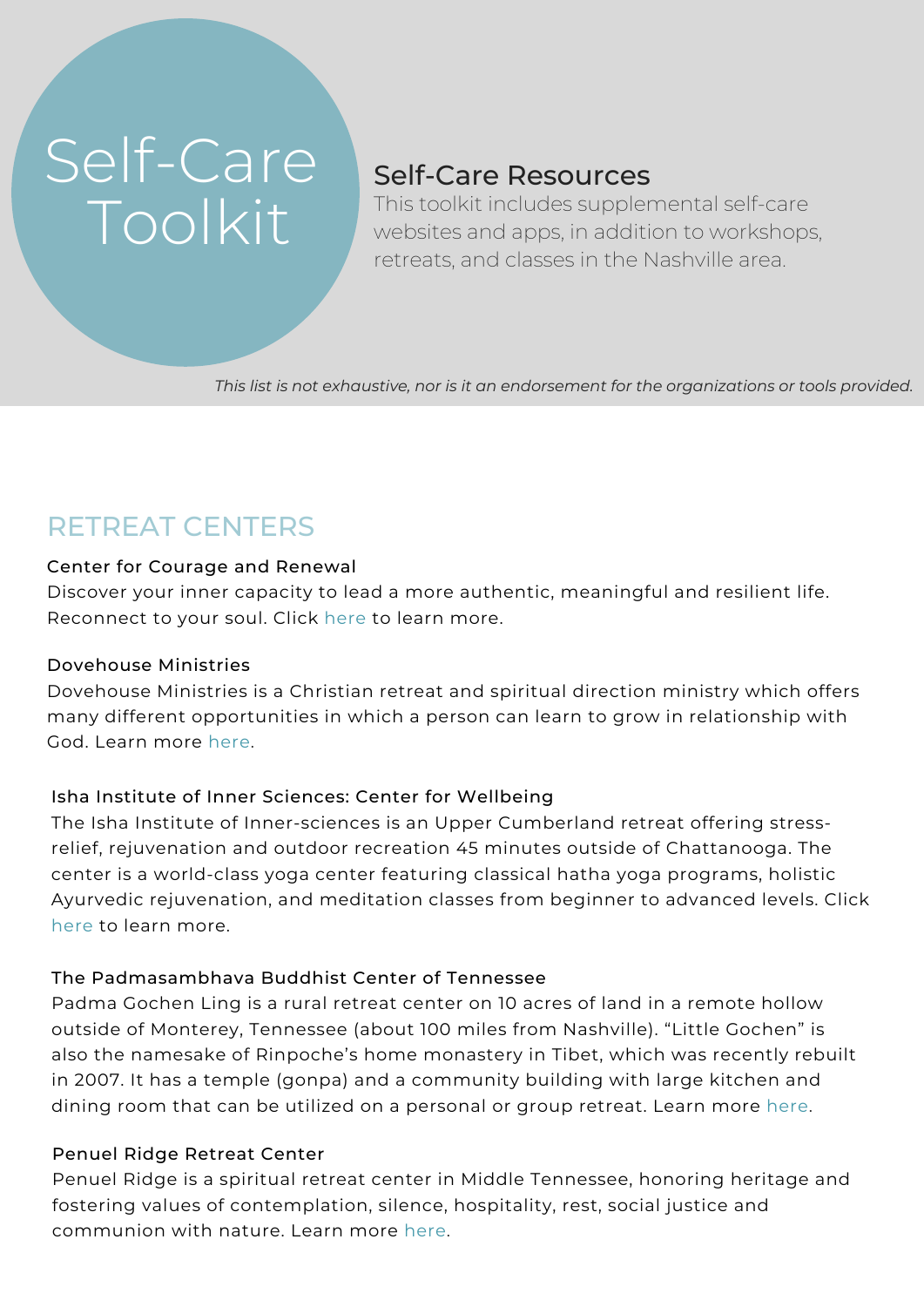# Self-Care Toolkit

### Self-Care Resources

This toolkit includes supplemental self-care websites and apps, in addition to workshops, retreats, and classes in the Nashville area.

*This list is not exhaustive, nor is it an endorsement for the organizations or tools provided.*

## RETREAT CENTERS

#### Center for Courage and Renewal

Discover your inner capacity to lead a more authentic, [meaningful](http://www.couragerenewal.org/locations/sanctuary-for-humans-and-horses-franklin-tn-8/) and resilient life. Reconnect to your soul. Click here to learn more.

#### Dovehouse Ministries

Dovehouse Ministries is a Christian retreat and spiritual direction ministry which offers many different [opportunities](https://dovehouseministries.com/) in which a person can learn to grow in relationship with God. Learn more here.

#### Isha Institute of Inner Sciences: Center for Wellbeing

The Isha Institute of [Inner-sciences](https://www.tnvacation.com/local/mcminnville-isha-institute-inner-sciences) is an Upper Cumberland retreat offering stressrelief, rejuvenation and outdoor recreation 45 minutes outside of Chattanooga. The center is a world-class yoga center featuring classical hatha yoga programs, holistic Ayurvedic rejuvenation, and meditation classes from beginner to advanced levels. Click here to learn more.

#### The [Padmasambhava](https://www.pbc-tn.org/padma-gochen-ling/) Buddhist Center of Tennessee

Padma Gochen Ling is a rural retreat center on 10 acres of land in a remote hollow outside of Monterey, Tennessee (about 100 miles from Nashville). "Little Gochen" is also the namesake of Rinpoche's home monastery in Tibet, which was recently rebuilt in 2007. It has a temple (gonpa) and a community building with large kitchen and dining room that can be utilized on a personal or group retreat. Learn more here.

#### Penuel Ridge Retreat Center

Penuel Ridge is a spiritual retreat center in Middle Tennessee, honoring heritage and fostering values of [contemplation,](https://www.penuelridge.org/) silence, hospitality, rest, social justice and communion with nature. Learn more here.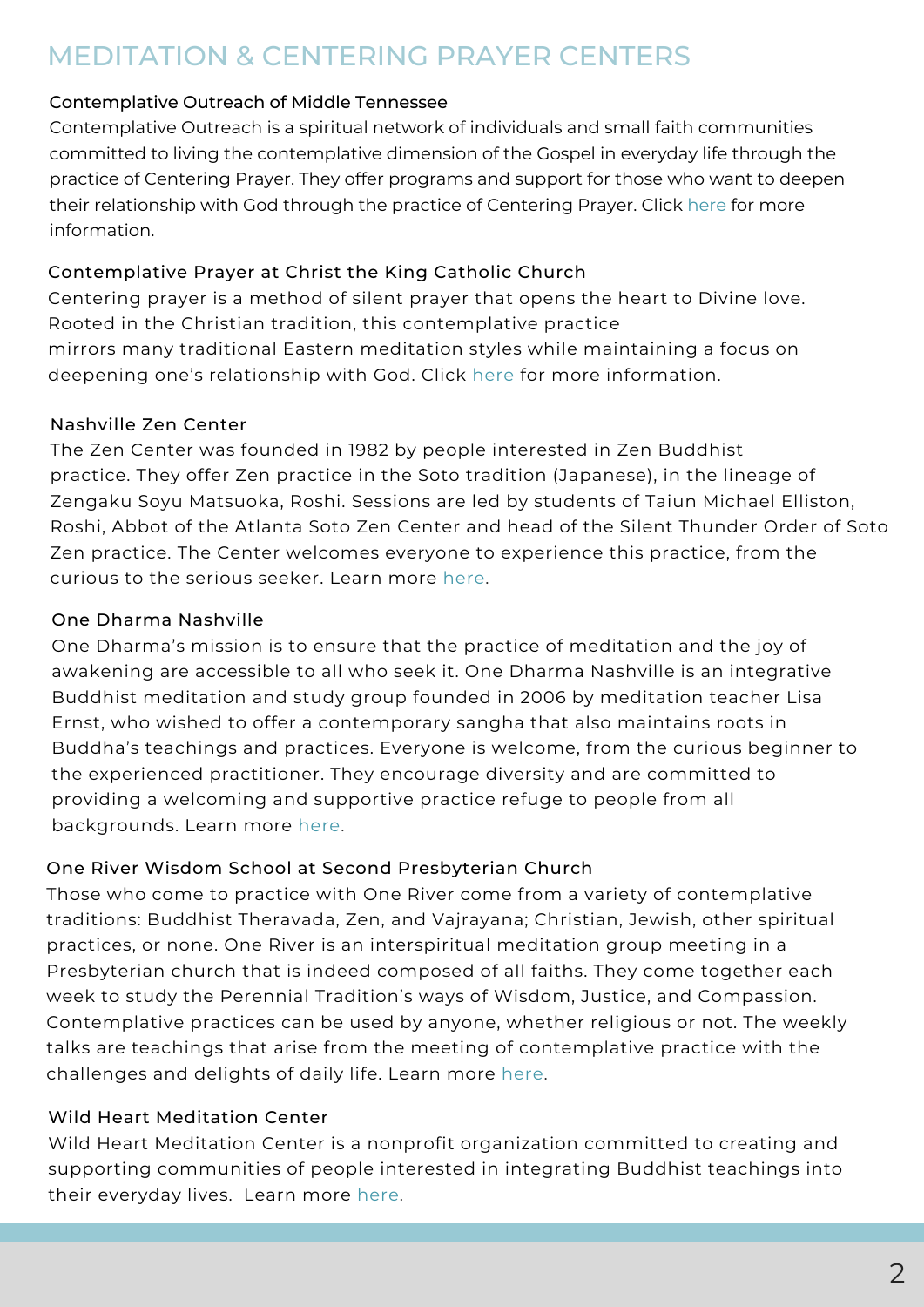### MEDITATION & CENTERING PRAYER CENTERS

#### [Contemplative](http://www.centeringprayermidtn.com/prayergroups.shtml) Outreach of Middle Tennessee

Contemplative Outreach is a spiritual network of individuals and small faith communities committed to living the contemplative dimension of the Gospel in everyday life through the practice of Centering Prayer. They offer programs and support for those who want to deepen their relationship with God through the practice of Centering Prayer. Click here for more information.

#### [Contemplative](https://ctk.org/contemplative-prayer-group) Prayer at Christ the King Catholic Church

Centering prayer is a method of silent prayer that opens the heart to Divine love. Rooted in the Christian tradition, this contemplative practice mirrors many traditional Eastern meditation styles while maintaining a focus on deepening one's relationship with God. Click here for more information.

#### Nashville Zen Center

The Zen Center was founded in 1982 by people interested in Zen Buddhist practice. They offer Zen practice in the Soto tradition [\(Japanese\),](http://nashvillezencenter.org/) in the lineage of Zengaku Soyu Matsuoka, Roshi. Sessions are led by students of Taiun Michael Elliston, Roshi, Abbot of the Atlanta Soto Zen Center and head of the Silent Thunder Order of Soto Zen practice. The Center welcomes everyone to experience this practice, from the curious to the serious seeker. Learn more here.

#### One Dharma Nashville

One Dharma's mission is to ensure that the practice of meditation and the joy of awakening are accessible to all who seek it. One Dharma Nashville is an integrative Buddhist meditation and study group founded in 2006 by meditation teacher Lisa Ernst, who wished to offer a [contemporary](https://onedharmanashville.com/) sangha that also maintains roots in Buddha's teachings and practices. Everyone is welcome, from the curious beginner to the experienced practitioner. They encourage diversity and are committed to providing a welcoming and supportive practice refuge to people from all backgrounds. Learn more here.

#### One River Wisdom School at Second Presbyterian Church

Those who come to practice with One River come from a variety of contemplative traditions: Buddhist Theravada, Zen, and Vajrayana; Christian, Jewish, other spiritual practices, or none. One River is an interspiritual meditation group meeting in a Presbyterian church that is indeed composed of all faiths. They come together each week to study the Perennial Tradition's ways of Wisdom, Justice, and Compassion. [Contemplative](http://oneriverwisdomnashville.org/about-us) practices can be used by anyone, whether religious or not. The weekly talks are teachings that arise from the meeting of contemplative practice with the challenges and delights of daily life. Learn more here.

#### Wild Heart Meditation Center

Wild Heart Meditation Center is a nonprofit organization committed to creating and supporting [communities](https://wildheartmeditationcenter.org/) of people interested in integrating Buddhist teachings into their everyday lives. Learn more here.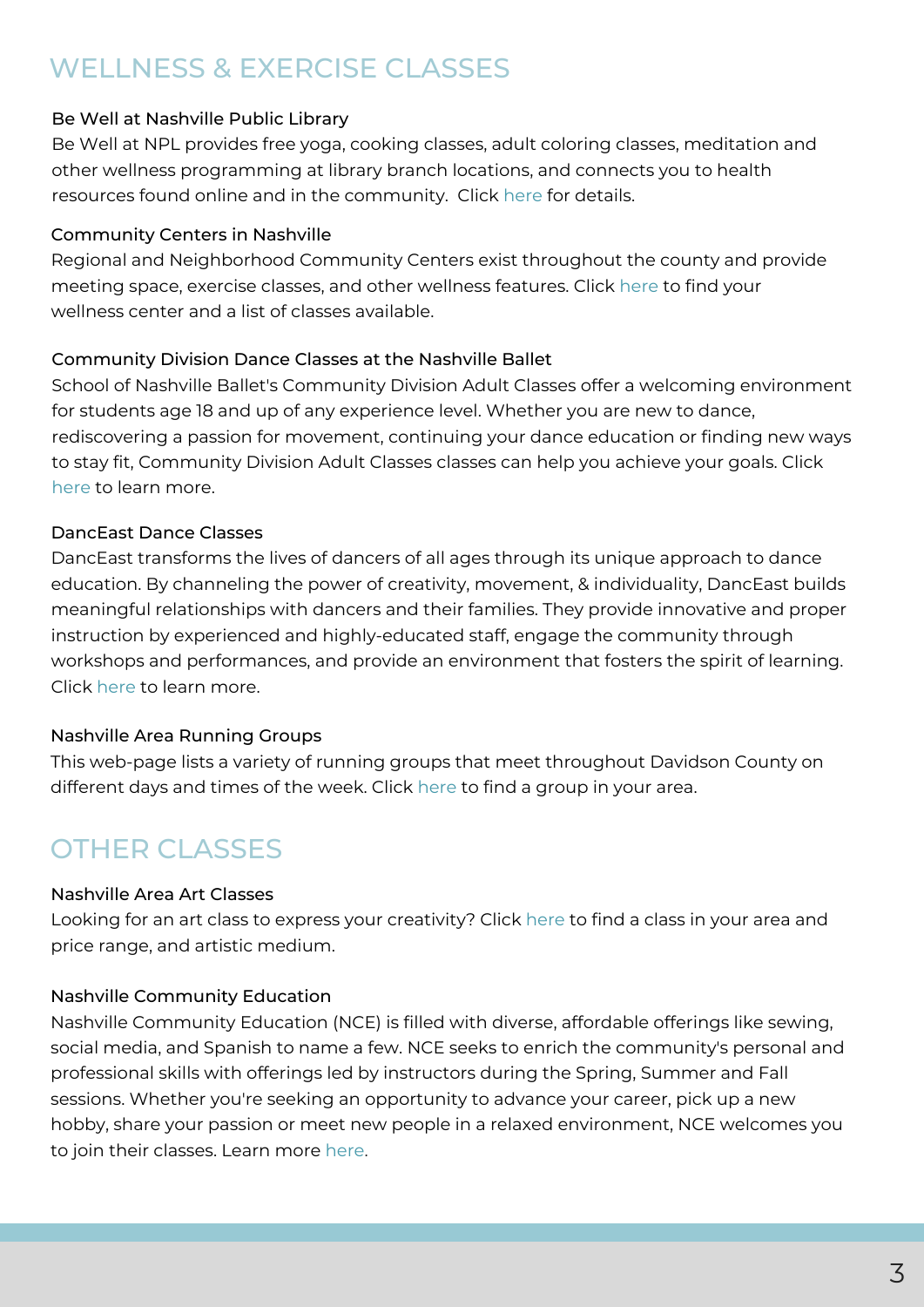# WELLNESS & EXERCISE CLASSES

#### Be Well at Nashville Public Library

Be Well at NPL provides free yoga, cooking classes, adult coloring classes, meditation and other wellness [programming](https://library.nashville.org/event/be-well-npl) at library branch locations, and connects you to health resources found online and in the community. Click here for details.

#### Community Centers in Nashville

Regional and [Neighborhood](https://www.nashville.gov/Parks-and-Recreation/Community-Centers-and-Recreation.aspx) Community Centers exist throughout the county and provide meeting space, exercise classes, and other wellness features. Click here to find your wellness center and a list of classes available.

#### Community Division Dance Classes at the Nashville Ballet

School of Nashville Ballet's Community Division Adult Classes offer a welcoming environment for students age 18 and up of any experience level. Whether you are new to dance, [rediscovering](https://www.nashvilleballet.com/community-adult/) a passion for movement, continuing your dance education or finding new ways to stay fit, Community Division Adult Classes classes can help you achieve your goals. Click here to learn more.

#### DancEast Dance Classes

DancEast transforms the lives of dancers of all ages through its unique approach to dance education. By channeling the power of creativity, movement, & individuality, DancEast builds meaningful relationships with dancers and their families. They provide innovative and proper instruction by experienced and [highly-educated](http://www.danceast.org/adults) staff, engage the community through workshops and performances, and provide an environment that fosters the spirit of learning. Click here to learn more.

#### Nashville Area Running Groups

This web-page lists a variety of running groups that meet [throughout](http://www.fleetfeetnashville.com/events/weekly-runs) Davidson County on different days and times of the week. Click here to find a group in your area.

### **OTHER CLASSES**

#### Nashville Area Art Classes

Looking for an art class to express your [creativity?](https://coursehorse.com/nashville-tn/classes/art) Click here to find a class in your area and price range, and artistic medium.

#### Nashville Community Education

Nashville Community Education (NCE) is filled with diverse, affordable offerings like sewing, social media, and Spanish to name a few. NCE seeks to enrich the community's personal and professional skills with offerings led by instructors during the Spring, Summer and Fall sessions. Whether you're seeking an opportunity to advance your career, pick up a new hobby, share your passion or meet new people in a relaxed [environment,](https://www.nashville.gov/Nashville-Community-Education.aspx) NCE welcomes you to join their classes. Learn more here.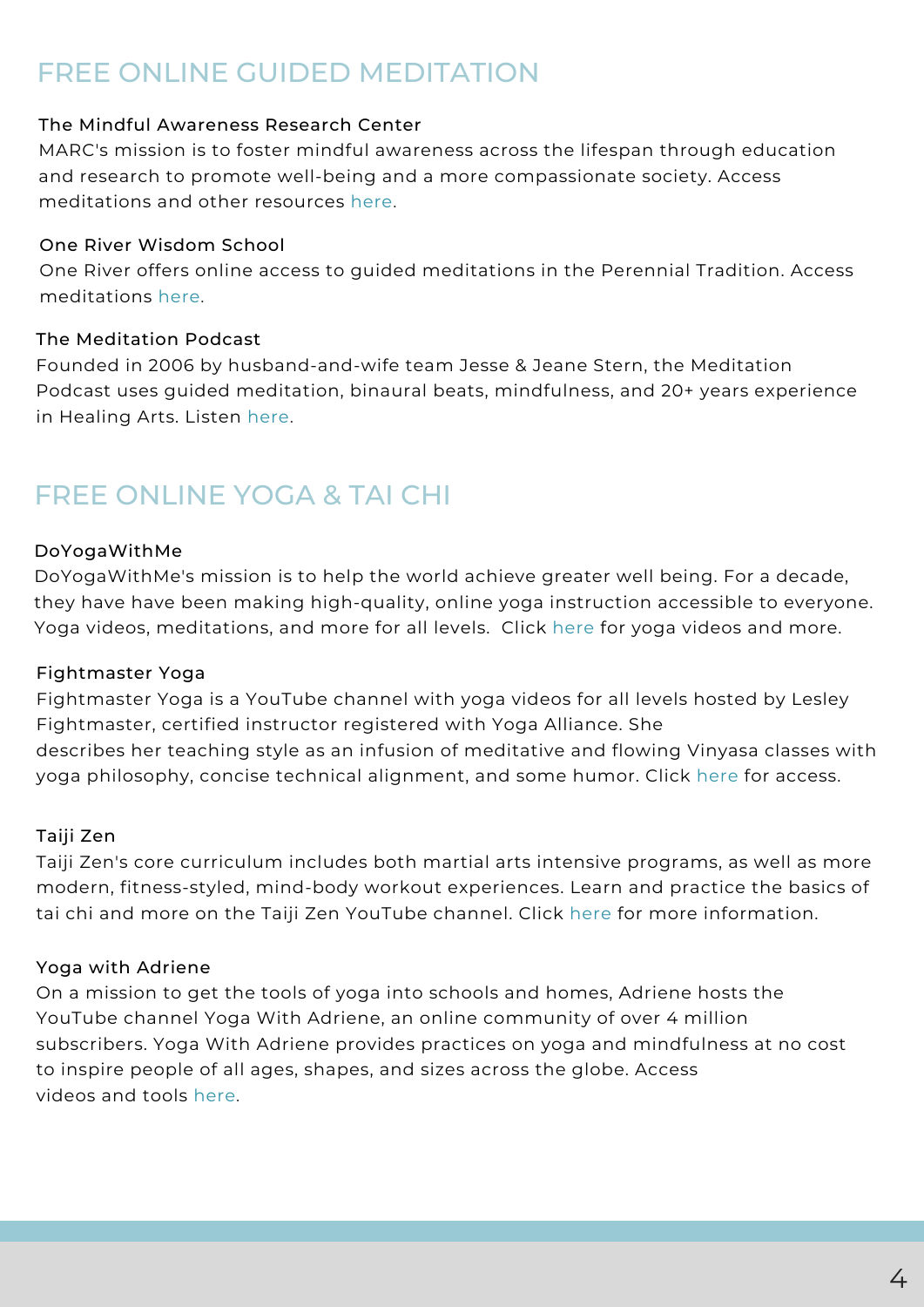# FREE ONLINE GUIDED MEDITATION

#### The Mindful Awareness Research Center

MARC's mission is to foster mindful awareness across the lifespan through education and research to promote well-being and a more [compassionate](http://marc.ucla.edu/default.cfm) society. Access meditations and other resources here.

#### One River Wisdom School

One River offers online access to guided [meditations](http://oneriverwisdomnashville.org/meditations/) in the Perennial Tradition. Access meditations here.

#### The Meditation Podcast

Founded in 2006 by [husband-and-wife](https://themeditationpodcast.com/meditations.html) team Jesse & Jeane Stern, the Meditation Podcast uses guided meditation, binaural beats, mindfulness, and 20+ years experience in Healing Arts. Listen here.

### FREE ONLINE YOGA & TAI CHI

#### DoYogaWithMe

[DoYogaWithMe's](https://www.doyogawithme.com/) mission is to help the world achieve greater well being. For a decade, they have have been making high-quality, online yoga instruction accessible to everyone. Yoga videos, meditations, and more for all levels. Click here for yoga videos and more.

#### Fightmaster Yoga

Fightmaster Yoga is a YouTube channel with yoga videos for all levels hosted by Lesley [Fightmaster,](https://yogawithadriene.com/) certified instructor registered with Yoga Alliance. She describes her teaching style as an infusion of meditative and flowing Vinyasa classes with yoga philosophy, concise technical alignment, and some humor. Click here for access.

#### Taiji Zen

Taiji Zen's core curriculum includes both martial arts intensive programs, as well as more modern, [fitness-styled,](https://www.youtube.com/user/TaijiZen/featured) mind-body workout experiences. Learn and practice the basics of tai chi and more on the Taiji Zen YouTube channel. Click here for more information.

#### Yoga with Adriene

On a mission to get the tools of yoga into schools and homes, Adriene hosts the YouTube channel Yoga With Adriene, an online community of over 4 million subscribers. Yoga With Adriene provides practices on yoga and [mindfulness](https://yogawithadriene.com/) at no cost to inspire people of all ages, shapes, and sizes across the globe. Access videos and tools here.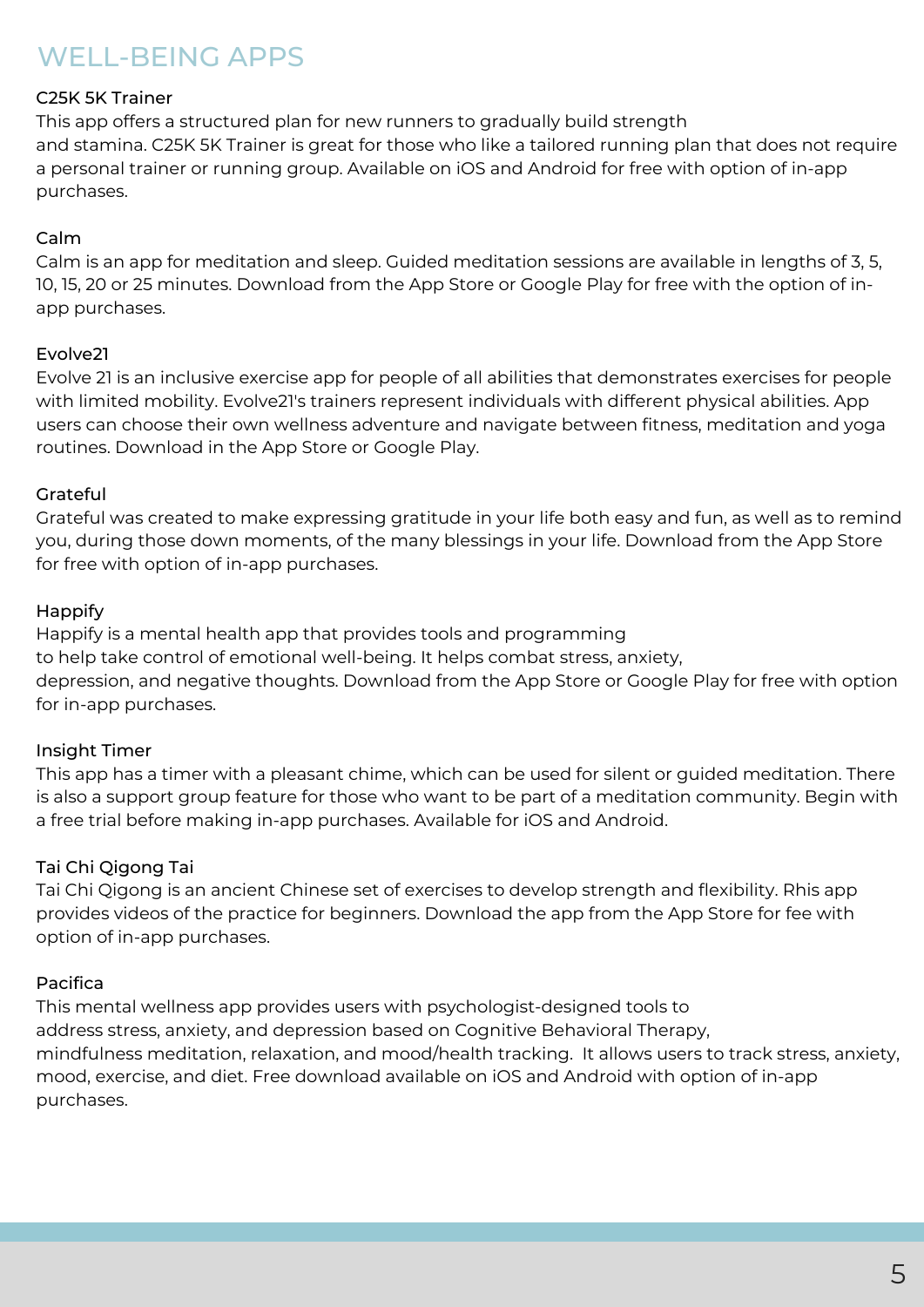# WELL-BEING APPS

#### C25K 5K Trainer

This app offers a structured plan for new runners to gradually build strength and stamina. C25K 5K Trainer is great for those who like a tailored running plan that does not require a personal trainer or running group. Available on iOS and Android for free with option of in-app purchases.

#### Calm

Calm is an app for meditation and sleep. Guided meditation sessions are available in lengths of 3, 5, 10, 15, 20 or 25 minutes. Download from the App Store or Google Play for free with the option of inapp purchases.

#### Evolve21

Evolve 21 is an inclusive exercise app for people of all abilities that demonstrates exercises for people with limited mobility. Evolve21's trainers represent individuals with different physical abilities. App users can choose their own wellness adventure and navigate between fitness, meditation and yoga routines. Download in the App Store or Google Play.

#### Grateful

Grateful was created to make expressing gratitude in your life both easy and fun, as well as to remind you, during those down moments, of the many blessings in your life. Download from the App Store for free with option of in-app purchases.

#### Happify

Happify is a mental health app that provides tools and programming to help take control of emotional well-being. It helps combat stress, anxiety, depression, and negative thoughts. Download from the App Store or Google Play for free with option for in-app purchases.

#### Insight Timer

This app has a timer with a pleasant chime, which can be used for silent or guided meditation. There is also a support group feature for those who want to be part of a meditation community. Begin with a free trial before making in-app purchases. Available for iOS and Android.

#### Tai Chi Qigong Tai

Tai Chi Qigong is an ancient Chinese set of exercises to develop strength and flexibility. Rhis app provides videos of the practice for beginners. Download the app from the App Store for fee with option of in-app purchases.

#### Pacifica

This mental wellness app provides users with psychologist-designed tools to address stress, anxiety, and depression based on Cognitive Behavioral Therapy, mindfulness meditation, relaxation, and mood/health tracking. It allows users to track stress, anxiety, mood, exercise, and diet. Free download available on iOS and Android with option of in-app purchases.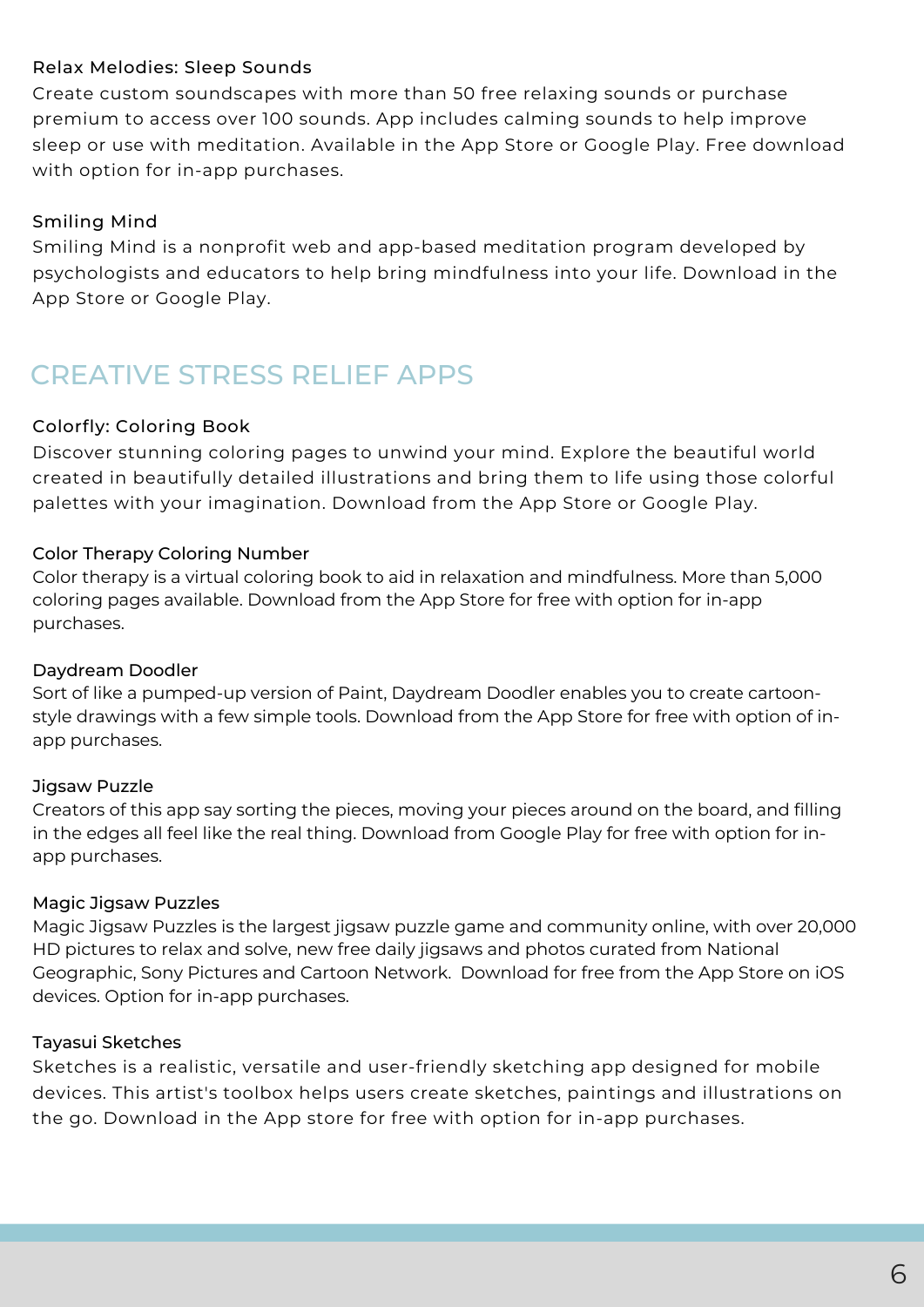#### Relax Melodies: Sleep Sounds

Create custom soundscapes with more than 50 free relaxing sounds or purchase premium to access over 100 sounds. App includes calming sounds to help improve sleep or use with meditation. Available in the App Store or Google Play. Free download with option for in-app purchases.

#### Smiling Mind

Smiling Mind is a nonprofit web and app-based meditation program developed by psychologists and educators to help bring mindfulness into your life. Download in the App Store or Google Play.

# CREATIVE STRESS RELIEF APPS

#### Colorfly: Coloring Book

Discover stunning coloring pages to unwind your mind. Explore the beautiful world created in beautifully detailed illustrations and bring them to life using those colorful palettes with your imagination. Download from the App Store or Google Play.

#### Color Therapy Coloring Number

Color therapy is a virtual coloring book to aid in relaxation and mindfulness. More than 5,000 coloring pages available. Download from the App Store for free with option for in-app purchases.

#### Daydream Doodler

Sort of like a pumped-up version of Paint, Daydream Doodler enables you to create cartoonstyle drawings with a few simple tools. Download from the App Store for free with option of inapp purchases.

#### Jigsaw Puzzle

Creators of this app say sorting the pieces, moving your pieces around on the board, and filling in the edges all feel like the real thing. Download from Google Play for free with option for inapp purchases.

#### Magic Jigsaw Puzzles

Magic Jigsaw Puzzles is the largest jigsaw puzzle game and community online, with over 20,000 HD pictures to relax and solve, new free daily jigsaws and photos curated from National Geographic, Sony Pictures and Cartoon Network. Download for free from the App Store on iOS devices. Option for in-app purchases.

#### Tayasui Sketches

Sketches is a realistic, versatile and user-friendly sketching app designed for mobile devices. This artist's toolbox helps users create sketches, paintings and illustrations on the go. Download in the App store for free with option for in-app purchases.